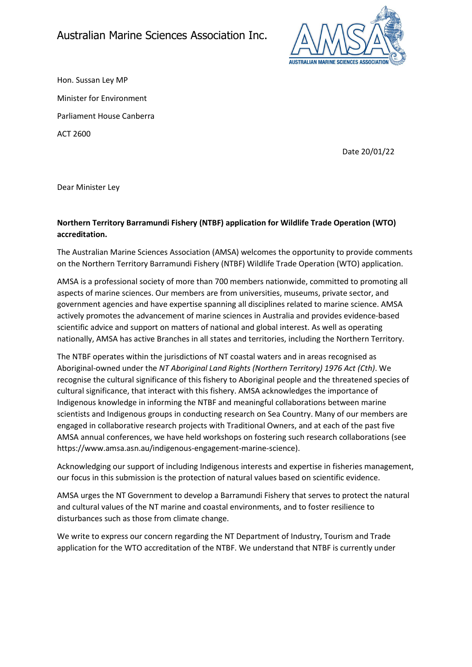

Hon. Sussan Ley MP Minister for Environment Parliament House Canberra ACT 2600

Date 20/01/22

Dear Minister Ley

# Northern Territory Barramundi Fishery (NTBF) application for Wildlife Trade Operation (WTO) accreditation.

The Australian Marine Sciences Association (AMSA) welcomes the opportunity to provide comments on the Northern Territory Barramundi Fishery (NTBF) Wildlife Trade Operation (WTO) application.

AMSA is a professional society of more than 700 members nationwide, committed to promoting all aspects of marine sciences. Our members are from universities, museums, private sector, and government agencies and have expertise spanning all disciplines related to marine science. AMSA actively promotes the advancement of marine sciences in Australia and provides evidence-based scientific advice and support on matters of national and global interest. As well as operating nationally, AMSA has active Branches in all states and territories, including the Northern Territory.

The NTBF operates within the jurisdictions of NT coastal waters and in areas recognised as Aboriginal-owned under the NT Aboriginal Land Rights (Northern Territory) 1976 Act (Cth). We recognise the cultural significance of this fishery to Aboriginal people and the threatened species of cultural significance, that interact with this fishery. AMSA acknowledges the importance of Indigenous knowledge in informing the NTBF and meaningful collaborations between marine scientists and Indigenous groups in conducting research on Sea Country. Many of our members are engaged in collaborative research projects with Traditional Owners, and at each of the past five AMSA annual conferences, we have held workshops on fostering such research collaborations (see https://www.amsa.asn.au/indigenous-engagement-marine-science).

Acknowledging our support of including Indigenous interests and expertise in fisheries management, our focus in this submission is the protection of natural values based on scientific evidence.

AMSA urges the NT Government to develop a Barramundi Fishery that serves to protect the natural and cultural values of the NT marine and coastal environments, and to foster resilience to disturbances such as those from climate change.

We write to express our concern regarding the NT Department of Industry, Tourism and Trade application for the WTO accreditation of the NTBF. We understand that NTBF is currently under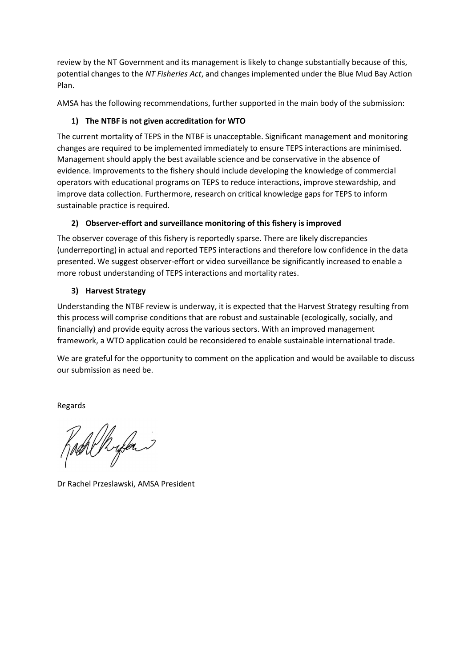review by the NT Government and its management is likely to change substantially because of this, potential changes to the NT Fisheries Act, and changes implemented under the Blue Mud Bay Action Plan.

AMSA has the following recommendations, further supported in the main body of the submission:

## 1) The NTBF is not given accreditation for WTO

The current mortality of TEPS in the NTBF is unacceptable. Significant management and monitoring changes are required to be implemented immediately to ensure TEPS interactions are minimised. Management should apply the best available science and be conservative in the absence of evidence. Improvements to the fishery should include developing the knowledge of commercial operators with educational programs on TEPS to reduce interactions, improve stewardship, and improve data collection. Furthermore, research on critical knowledge gaps for TEPS to inform sustainable practice is required.

## 2) Observer-effort and surveillance monitoring of this fishery is improved

The observer coverage of this fishery is reportedly sparse. There are likely discrepancies (underreporting) in actual and reported TEPS interactions and therefore low confidence in the data presented. We suggest observer-effort or video surveillance be significantly increased to enable a more robust understanding of TEPS interactions and mortality rates.

## 3) Harvest Strategy

Understanding the NTBF review is underway, it is expected that the Harvest Strategy resulting from this process will comprise conditions that are robust and sustainable (ecologically, socially, and financially) and provide equity across the various sectors. With an improved management framework, a WTO application could be reconsidered to enable sustainable international trade.

We are grateful for the opportunity to comment on the application and would be available to discuss our submission as need be.

Regards

Rach Ryland

Dr Rachel Przeslawski, AMSA President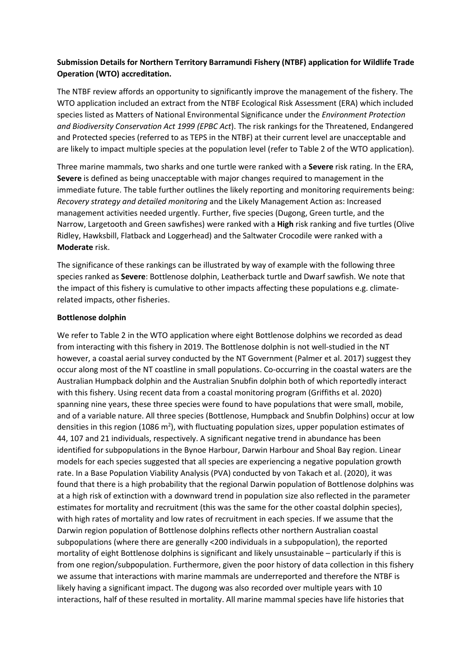## Submission Details for Northern Territory Barramundi Fishery (NTBF) application for Wildlife Trade Operation (WTO) accreditation.

The NTBF review affords an opportunity to significantly improve the management of the fishery. The WTO application included an extract from the NTBF Ecological Risk Assessment (ERA) which included species listed as Matters of National Environmental Significance under the Environment Protection and Biodiversity Conservation Act 1999 (EPBC Act). The risk rankings for the Threatened, Endangered and Protected species (referred to as TEPS in the NTBF) at their current level are unacceptable and are likely to impact multiple species at the population level (refer to Table 2 of the WTO application).

Three marine mammals, two sharks and one turtle were ranked with a Severe risk rating. In the ERA, Severe is defined as being unacceptable with major changes required to management in the immediate future. The table further outlines the likely reporting and monitoring requirements being: Recovery strategy and detailed monitoring and the Likely Management Action as: Increased management activities needed urgently. Further, five species (Dugong, Green turtle, and the Narrow, Largetooth and Green sawfishes) were ranked with a High risk ranking and five turtles (Olive Ridley, Hawksbill, Flatback and Loggerhead) and the Saltwater Crocodile were ranked with a Moderate risk.

The significance of these rankings can be illustrated by way of example with the following three species ranked as Severe: Bottlenose dolphin, Leatherback turtle and Dwarf sawfish. We note that the impact of this fishery is cumulative to other impacts affecting these populations e.g. climaterelated impacts, other fisheries.

#### Bottlenose dolphin

We refer to Table 2 in the WTO application where eight Bottlenose dolphins we recorded as dead from interacting with this fishery in 2019. The Bottlenose dolphin is not well-studied in the NT however, a coastal aerial survey conducted by the NT Government (Palmer et al. 2017) suggest they occur along most of the NT coastline in small populations. Co-occurring in the coastal waters are the Australian Humpback dolphin and the Australian Snubfin dolphin both of which reportedly interact with this fishery. Using recent data from a coastal monitoring program (Griffiths et al. 2020) spanning nine years, these three species were found to have populations that were small, mobile, and of a variable nature. All three species (Bottlenose, Humpback and Snubfin Dolphins) occur at low densities in this region (1086 m<sup>2</sup>), with fluctuating population sizes, upper population estimates of 44, 107 and 21 individuals, respectively. A significant negative trend in abundance has been identified for subpopulations in the Bynoe Harbour, Darwin Harbour and Shoal Bay region. Linear models for each species suggested that all species are experiencing a negative population growth rate. In a Base Population Viability Analysis (PVA) conducted by von Takach et al. (2020), it was found that there is a high probability that the regional Darwin population of Bottlenose dolphins was at a high risk of extinction with a downward trend in population size also reflected in the parameter estimates for mortality and recruitment (this was the same for the other coastal dolphin species), with high rates of mortality and low rates of recruitment in each species. If we assume that the Darwin region population of Bottlenose dolphins reflects other northern Australian coastal subpopulations (where there are generally <200 individuals in a subpopulation), the reported mortality of eight Bottlenose dolphins is significant and likely unsustainable – particularly if this is from one region/subpopulation. Furthermore, given the poor history of data collection in this fishery we assume that interactions with marine mammals are underreported and therefore the NTBF is likely having a significant impact. The dugong was also recorded over multiple years with 10 interactions, half of these resulted in mortality. All marine mammal species have life histories that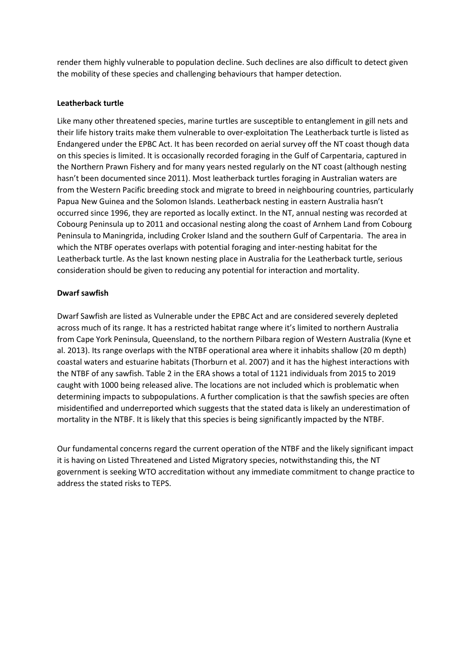render them highly vulnerable to population decline. Such declines are also difficult to detect given the mobility of these species and challenging behaviours that hamper detection.

#### Leatherback turtle

Like many other threatened species, marine turtles are susceptible to entanglement in gill nets and their life history traits make them vulnerable to over-exploitation The Leatherback turtle is listed as Endangered under the EPBC Act. It has been recorded on aerial survey off the NT coast though data on this species is limited. It is occasionally recorded foraging in the Gulf of Carpentaria, captured in the Northern Prawn Fishery and for many years nested regularly on the NT coast (although nesting hasn't been documented since 2011). Most leatherback turtles foraging in Australian waters are from the Western Pacific breeding stock and migrate to breed in neighbouring countries, particularly Papua New Guinea and the Solomon Islands. Leatherback nesting in eastern Australia hasn't occurred since 1996, they are reported as locally extinct. In the NT, annual nesting was recorded at Cobourg Peninsula up to 2011 and occasional nesting along the coast of Arnhem Land from Cobourg Peninsula to Maningrida, including Croker Island and the southern Gulf of Carpentaria. The area in which the NTBF operates overlaps with potential foraging and inter-nesting habitat for the Leatherback turtle. As the last known nesting place in Australia for the Leatherback turtle, serious consideration should be given to reducing any potential for interaction and mortality.

#### Dwarf sawfish

Dwarf Sawfish are listed as Vulnerable under the EPBC Act and are considered severely depleted across much of its range. It has a restricted habitat range where it's limited to northern Australia from Cape York Peninsula, Queensland, to the northern Pilbara region of Western Australia (Kyne et al. 2013). Its range overlaps with the NTBF operational area where it inhabits shallow (20 m depth) coastal waters and estuarine habitats (Thorburn et al. 2007) and it has the highest interactions with the NTBF of any sawfish. Table 2 in the ERA shows a total of 1121 individuals from 2015 to 2019 caught with 1000 being released alive. The locations are not included which is problematic when determining impacts to subpopulations. A further complication is that the sawfish species are often misidentified and underreported which suggests that the stated data is likely an underestimation of mortality in the NTBF. It is likely that this species is being significantly impacted by the NTBF.

Our fundamental concerns regard the current operation of the NTBF and the likely significant impact it is having on Listed Threatened and Listed Migratory species, notwithstanding this, the NT government is seeking WTO accreditation without any immediate commitment to change practice to address the stated risks to TEPS.